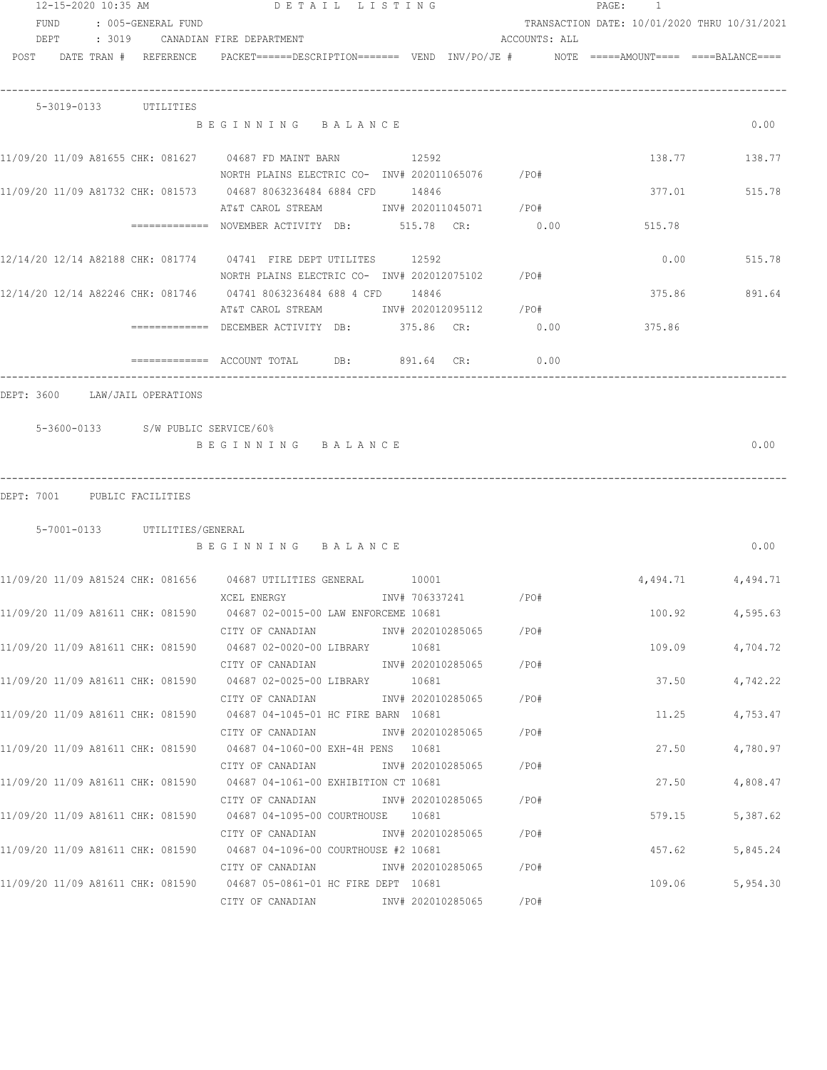| 12-15-2020 10:35 AM        |  |  |                               | DETAIL LISTING                                                                           |                |  |                        | PAGE: 1       |                                              |                   |  |
|----------------------------|--|--|-------------------------------|------------------------------------------------------------------------------------------|----------------|--|------------------------|---------------|----------------------------------------------|-------------------|--|
| FUND<br>: 005-GENERAL FUND |  |  |                               |                                                                                          |                |  |                        |               | TRANSACTION DATE: 10/01/2020 THRU 10/31/2021 |                   |  |
|                            |  |  |                               | DEPT : 3019 CANADIAN FIRE DEPARTMENT                                                     |                |  |                        | ACCOUNTS: ALL |                                              |                   |  |
|                            |  |  | POST DATE TRAN # REFERENCE    | PACKET======DESCRIPTION======= VEND INV/PO/JE #     NOTE =====AMOUNT==== ====BALANCE==== |                |  |                        |               |                                              |                   |  |
|                            |  |  | 5-3019-0133 UTILITIES         |                                                                                          |                |  |                        |               |                                              |                   |  |
|                            |  |  |                               | BEGINNING BALANCE                                                                        |                |  |                        |               |                                              | 0.00              |  |
|                            |  |  |                               | 11/09/20 11/09 A81655 CHK: 081627 04687 FD MAINT BARN 32592                              |                |  |                        |               |                                              | 138.77 138.77     |  |
|                            |  |  |                               | NORTH PLAINS ELECTRIC CO- INV# 202011065076 / PO#                                        |                |  |                        |               |                                              |                   |  |
|                            |  |  |                               | 11/09/20 11/09 A81732 CHK: 081573 04687 8063236484 6884 CFD 14846                        |                |  |                        |               |                                              | 377.01 515.78     |  |
|                            |  |  |                               | AT&T CAROL STREAM 1NV# 202011045071 / PO#                                                |                |  |                        |               |                                              |                   |  |
|                            |  |  |                               | ============= NOVEMBER ACTIVITY DB: 515.78 CR: 0.00                                      |                |  |                        |               | 515.78                                       |                   |  |
|                            |  |  |                               | 12/14/20 12/14 A82188 CHK: 081774 04741 FIRE DEPT UTILITES 12592                         |                |  |                        |               | 0.00                                         | 515.78            |  |
|                            |  |  |                               | NORTH PLAINS ELECTRIC CO- INV# 202012075102 / PO#                                        |                |  |                        |               |                                              |                   |  |
|                            |  |  |                               | 12/14/20 12/14 A82246 CHK: 081746   04741 8063236484 688 4 CFD   14846                   |                |  |                        |               | 375.86                                       | 891.64            |  |
|                            |  |  |                               | AT&T CAROL STREAM MW# 202012095112 / PO#                                                 |                |  |                        |               |                                              |                   |  |
|                            |  |  |                               | ============ DECEMBER ACTIVITY DB: 375.86 CR: 0.00                                       |                |  |                        |               | 375.86                                       |                   |  |
|                            |  |  |                               |                                                                                          |                |  |                        |               |                                              |                   |  |
|                            |  |  |                               | BEGINNING BALANCE                                                                        |                |  |                        |               |                                              | 0.00              |  |
|                            |  |  | DEPT: 7001 PUBLIC FACILITIES  |                                                                                          |                |  |                        |               |                                              |                   |  |
|                            |  |  | 5-7001-0133 UTILITIES/GENERAL |                                                                                          |                |  |                        |               |                                              |                   |  |
|                            |  |  |                               | BEGINNING BALANCE                                                                        |                |  |                        |               |                                              | 0.00              |  |
|                            |  |  |                               | 11/09/20 11/09 A81524 CHK: 081656  04687 UTILITIES GENERAL  10001                        |                |  |                        |               |                                              | 4,494.71 4,494.71 |  |
|                            |  |  |                               | XCEL ENERGY                                                                              | INV# 706337241 |  |                        | /PO#          |                                              |                   |  |
|                            |  |  |                               | 11/09/20 11/09 A81611 CHK: 081590 04687 02-0015-00 LAW ENFORCEME 10681                   |                |  |                        |               | 100.92                                       | 4,595.63          |  |
|                            |  |  |                               | CITY OF CANADIAN                                                                         |                |  | INV# 202010285065 /PO# |               |                                              |                   |  |
|                            |  |  |                               | 11/09/20 11/09 A81611 CHK: 081590  04687 02-0020-00 LIBRARY   10681                      |                |  |                        |               | 109.09                                       | 4,704.72          |  |
|                            |  |  |                               | CITY OF CANADIAN                                                                         |                |  | INV# 202010285065 /PO# |               |                                              |                   |  |
|                            |  |  |                               | 11/09/20 11/09 A81611 CHK: 081590 04687 02-0025-00 LIBRARY 10681                         |                |  |                        |               | 37.50                                        | 4,742.22          |  |
|                            |  |  |                               | CITY OF CANADIAN                                                                         |                |  | INV# 202010285065 /PO# |               |                                              |                   |  |
|                            |  |  |                               | 11/09/20 11/09 A81611 CHK: 081590 04687 04-1045-01 HC FIRE BARN 10681                    |                |  |                        |               | 11.25                                        | 4,753.47          |  |
|                            |  |  |                               | CITY OF CANADIAN<br>11/09/20 11/09 A81611 CHK: 081590 04687 04-1060-00 EXH-4H PENS 10681 |                |  | INV# 202010285065      | /PO#          | 27.50                                        | 4,780.97          |  |
|                            |  |  |                               | CITY OF CANADIAN                                                                         |                |  | INV# 202010285065 /PO# |               |                                              |                   |  |
|                            |  |  |                               | 11/09/20 11/09 A81611 CHK: 081590 04687 04-1061-00 EXHIBITION CT 10681                   |                |  |                        |               | 27.50                                        | 4,808.47          |  |
|                            |  |  |                               |                                                                                          |                |  |                        |               |                                              |                   |  |
|                            |  |  |                               | 11/09/20 11/09 A81611 CHK: 081590  04687 04-1095-00 COURTHOUSE  10681                    |                |  |                        |               | 579.15                                       | 5,387.62          |  |
|                            |  |  |                               | CITY OF CANADIAN                         INV# 202010285065           /PO#                |                |  |                        |               |                                              |                   |  |
|                            |  |  |                               | 11/09/20 11/09 A81611 CHK: 081590 04687 04-1096-00 COURTHOUSE #2 10681                   |                |  |                        |               | 457.62                                       | 5,845.24          |  |
|                            |  |  |                               |                                                                                          |                |  |                        | /PO#          |                                              |                   |  |
|                            |  |  |                               | 11/09/20 11/09 A81611 CHK: 081590 04687 05-0861-01 HC FIRE DEPT 10681                    |                |  |                        |               | 109.06                                       | 5,954.30          |  |
|                            |  |  |                               | CITY OF CANADIAN MOTHOM INV# 202010285065                                                |                |  |                        | /PO#          |                                              |                   |  |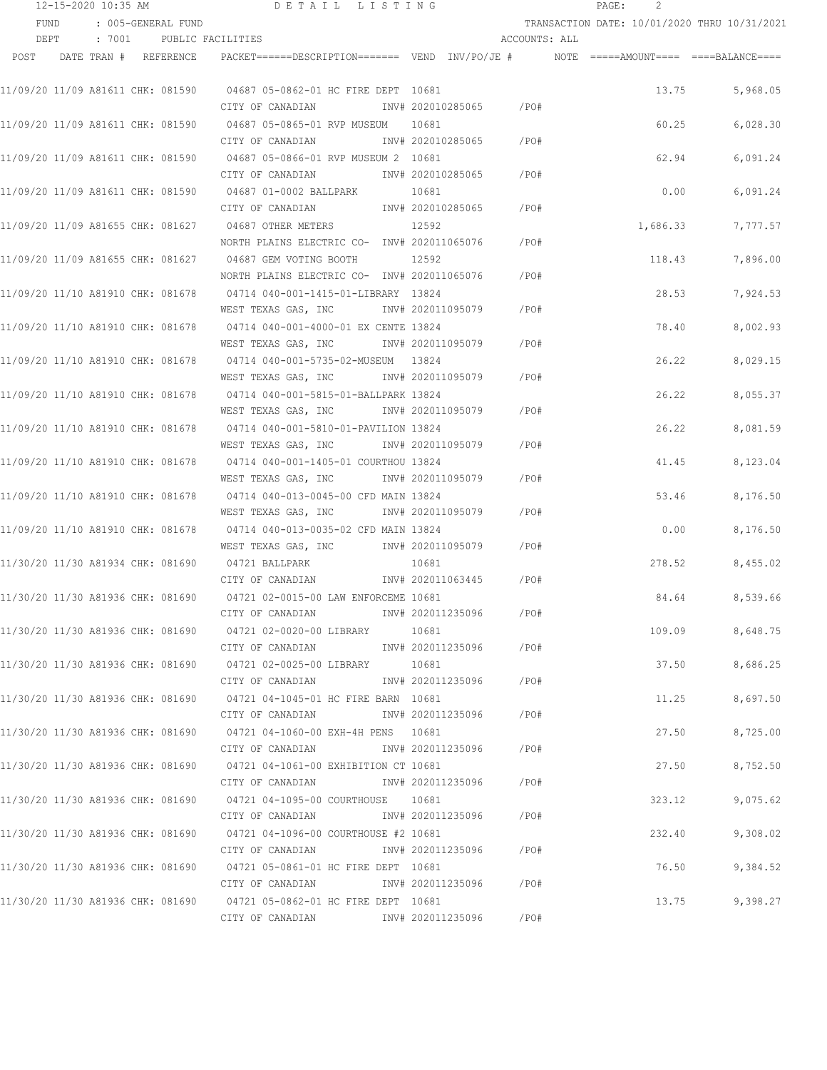|      | 12-15-2020 10:35 AM               |  |                          | DETAIL LISTING                                                                                     |       |                   |               | 2<br>PAGE: |                                              |
|------|-----------------------------------|--|--------------------------|----------------------------------------------------------------------------------------------------|-------|-------------------|---------------|------------|----------------------------------------------|
|      | FUND                              |  | : 005-GENERAL FUND       |                                                                                                    |       |                   |               |            | TRANSACTION DATE: 10/01/2020 THRU 10/31/2021 |
|      | DEPT                              |  | : 7001 PUBLIC FACILITIES |                                                                                                    |       |                   | ACCOUNTS: ALL |            |                                              |
| POST |                                   |  | DATE TRAN # REFERENCE    | PACKET======DESCRIPTION========  VEND  INV/PO/JE #          NOTE  =====AMOUNT====  ====BALANCE==== |       |                   |               |            |                                              |
|      | 11/09/20 11/09 A81611 CHK: 081590 |  |                          | 04687 05-0862-01 HC FIRE DEPT 10681                                                                |       |                   |               | 13.75      | 5,968.05                                     |
|      |                                   |  |                          | CITY OF CANADIAN                                                                                   |       | INV# 202010285065 | /PO#          |            |                                              |
|      |                                   |  |                          | 11/09/20 11/09 A81611 CHK: 081590                04687 05-0865-01 RVP MUSEUM                       | 10681 |                   |               | 60.25      | 6,028.30                                     |
|      |                                   |  |                          | CITY OF CANADIAN                                                                                   |       | INV# 202010285065 | /PO#          |            |                                              |
|      |                                   |  |                          | 11/09/20 11/09 A81611 CHK: 081590 04687 05-0866-01 RVP MUSEUM 2 10681                              |       |                   |               | 62.94      | 6,091.24                                     |
|      |                                   |  |                          | CITY OF CANADIAN                                                                                   |       | INV# 202010285065 | /PO#          |            |                                              |
|      | 11/09/20 11/09 A81611 CHK: 081590 |  |                          | 04687 01-0002 BALLPARK                                                                             | 10681 |                   |               | 0.00       | 6,091.24                                     |
|      |                                   |  |                          | CITY OF CANADIAN                                                                                   |       | INV# 202010285065 | /PO#          |            |                                              |
|      | 11/09/20 11/09 A81655 CHK: 081627 |  |                          | 04687 OTHER METERS                                                                                 | 12592 |                   |               | 1,686.33   | 7,777.57                                     |
|      |                                   |  |                          | NORTH PLAINS ELECTRIC CO- INV# 202011065076                                                        |       |                   | /PO#          |            |                                              |
|      | 11/09/20 11/09 A81655 CHK: 081627 |  |                          | 04687 GEM VOTING BOOTH                                                                             | 12592 |                   |               | 118.43     | 7,896.00                                     |
|      |                                   |  |                          | NORTH PLAINS ELECTRIC CO- INV# 202011065076                                                        |       |                   | /PO#          |            |                                              |
|      | 11/09/20 11/10 A81910 CHK: 081678 |  |                          | 04714 040-001-1415-01-LIBRARY 13824                                                                |       |                   |               | 28.53      | 7,924.53                                     |
|      |                                   |  |                          | WEST TEXAS GAS, INC NNV# 202011095079                                                              |       |                   | /PO#          |            |                                              |
|      |                                   |  |                          |                                                                                                    |       |                   |               | 78.40      | 8,002.93                                     |
|      |                                   |  |                          | WEST TEXAS GAS, INC MONTH 202011095079                                                             |       |                   | /PO#          |            |                                              |
|      |                                   |  |                          |                                                                                                    |       |                   |               | 26.22      | 8,029.15                                     |
|      |                                   |  |                          | WEST TEXAS GAS, INC METALL 1NV# 202011095079                                                       |       |                   | /PO#          |            |                                              |
|      | 11/09/20 11/10 A81910 CHK: 081678 |  |                          | 04714 040-001-5815-01-BALLPARK 13824                                                               |       |                   |               | 26.22      | 8,055.37                                     |
|      |                                   |  |                          | WEST TEXAS GAS, INC                                                                                |       | INV# 202011095079 | /PO#          |            |                                              |
|      | 11/09/20 11/10 A81910 CHK: 081678 |  |                          | 04714 040-001-5810-01-PAVILION 13824                                                               |       |                   |               | 26.22      | 8,081.59                                     |
|      |                                   |  |                          | WEST TEXAS GAS, INC                                                                                |       | INV# 202011095079 | /PO#          |            |                                              |
|      | 11/09/20 11/10 A81910 CHK: 081678 |  |                          | 04714 040-001-1405-01 COURTHOU 13824                                                               |       |                   |               | 41.45      | 8,123.04                                     |
|      |                                   |  |                          | WEST TEXAS GAS, INC                                                                                |       | INV# 202011095079 | /PO#          |            |                                              |
|      | 11/09/20 11/10 A81910 CHK: 081678 |  |                          | 04714 040-013-0045-00 CFD MAIN 13824                                                               |       |                   |               | 53.46      | 8,176.50                                     |
|      |                                   |  |                          | WEST TEXAS GAS, INC                                                                                |       | INV# 202011095079 | /PO#          |            |                                              |
|      | 11/09/20 11/10 A81910 CHK: 081678 |  |                          | 04714 040-013-0035-02 CFD MAIN 13824                                                               |       |                   |               | 0.00       | 8,176.50                                     |
|      |                                   |  |                          | WEST TEXAS GAS, INC                                                                                |       | INV# 202011095079 | /PO#          |            |                                              |
|      | 11/30/20 11/30 A81934 CHK: 081690 |  |                          | 04721 BALLPARK<br>CITY OF CANADIAN                                                                 | 10681 | INV# 202011063445 | /PO#          | 278.52     | 8,455.02                                     |
|      |                                   |  |                          |                                                                                                    |       |                   |               |            |                                              |
|      |                                   |  |                          | 11/30/20 11/30 A81936 CHK: 081690 04721 02-0015-00 LAW ENFORCEME 10681                             |       |                   |               | 84.64      | 8,539.66                                     |
|      |                                   |  |                          | CITY OF CANADIAN                                                                                   |       | INV# 202011235096 | /PO#          |            |                                              |
|      |                                   |  |                          |                                                                                                    | 10681 |                   | /PO#          | 109.09     | 8,648.75                                     |
|      |                                   |  |                          | CITY OF CANADIAN                                                                                   |       | INV# 202011235096 |               |            |                                              |
|      |                                   |  |                          | CITY OF CANADIAN                                                                                   |       | INV# 202011235096 | /PO#          | 37.50      | 8,686.25                                     |
|      |                                   |  |                          |                                                                                                    |       |                   |               | 11.25      | 8,697.50                                     |
|      |                                   |  |                          | CITY OF CANADIAN                                                                                   |       | INV# 202011235096 | $/$ PO#       |            |                                              |
|      |                                   |  |                          |                                                                                                    |       |                   |               | 27.50      | 8,725.00                                     |
|      |                                   |  |                          | CITY OF CANADIAN                                                                                   |       | INV# 202011235096 | $/$ PO#       |            |                                              |
|      |                                   |  |                          |                                                                                                    |       |                   |               | 27.50      | 8,752.50                                     |
|      |                                   |  |                          | CITY OF CANADIAN                                                                                   |       | INV# 202011235096 | /PO#          |            |                                              |
|      |                                   |  |                          | 11/30/20 11/30 A81936 CHK: 081690                04721 04-1095-00 COURTHOUSE                10681  |       |                   |               | 323.12     | 9,075.62                                     |
|      |                                   |  |                          | CITY OF CANADIAN                                                                                   |       | INV# 202011235096 | /PO#          |            |                                              |
|      |                                   |  |                          | 11/30/20 11/30 A81936 CHK: 081690                04721 04-1096-00 COURTHOUSE #2 10681              |       |                   |               | 232.40     | 9,308.02                                     |
|      |                                   |  |                          | CITY OF CANADIAN                                                                                   |       | INV# 202011235096 | /PO#          |            |                                              |
|      |                                   |  |                          | 11/30/20 11/30 A81936 CHK: 081690 04721 05-0861-01 HC FIRE DEPT 10681                              |       |                   |               | 76.50      | 9,384.52                                     |
|      |                                   |  |                          | CITY OF CANADIAN                                                                                   |       | INV# 202011235096 | $/$ PO#       |            |                                              |
|      |                                   |  |                          | 11/30/20 11/30 A81936 CHK: 081690 04721 05-0862-01 HC FIRE DEPT 10681                              |       |                   |               | 13.75      | 9,398.27                                     |
|      |                                   |  |                          | CITY OF CANADIAN                                                                                   |       | INV# 202011235096 | /PO#          |            |                                              |
|      |                                   |  |                          |                                                                                                    |       |                   |               |            |                                              |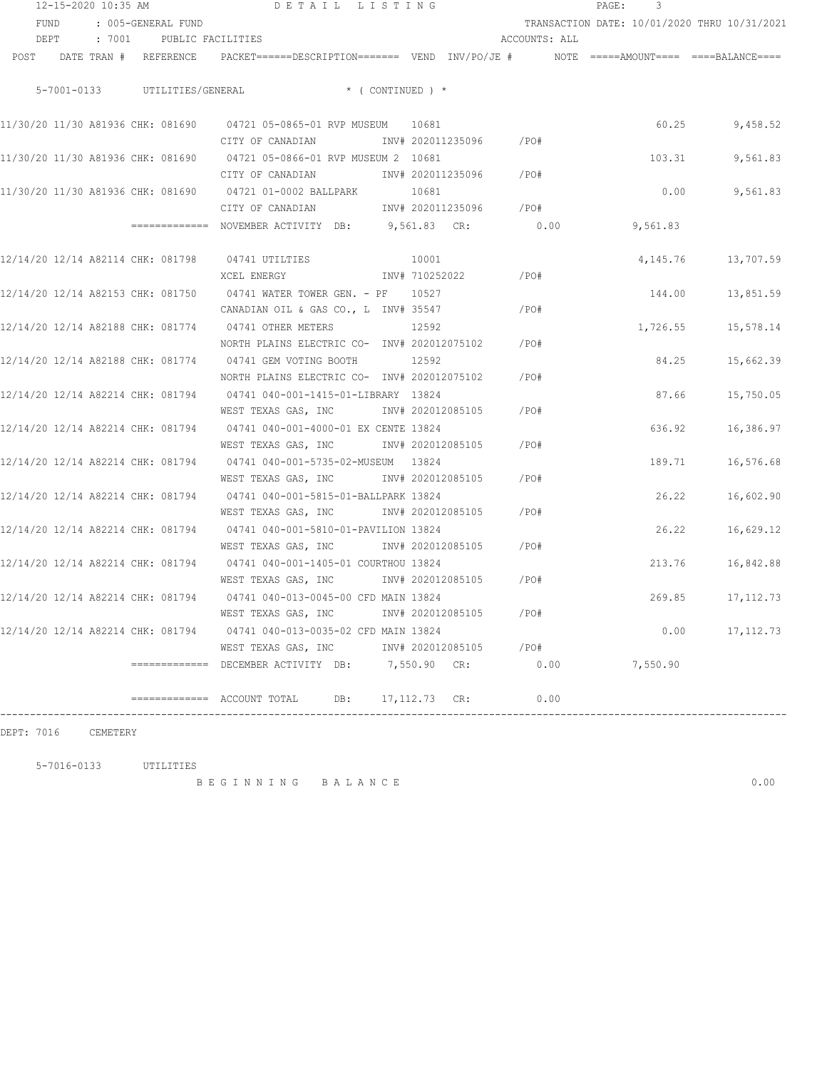|      |      | 12-15-2020 10:35 AM   |                    | DETAIL LISTING                                                                                                                              |              |                |                   |                 | PAGE:<br>3 |                                              |
|------|------|-----------------------|--------------------|---------------------------------------------------------------------------------------------------------------------------------------------|--------------|----------------|-------------------|-----------------|------------|----------------------------------------------|
|      | FUND |                       | : 005-GENERAL FUND |                                                                                                                                             |              |                |                   |                 |            | TRANSACTION DATE: 10/01/2020 THRU 10/31/2021 |
|      | DEPT |                       |                    | : 7001 PUBLIC FACILITIES                                                                                                                    |              |                |                   | ACCOUNTS: ALL   |            |                                              |
| POST |      | DATE TRAN # REFERENCE |                    | PACKET======DESCRIPTION======= VEND INV/PO/JE #     NOTE =====AMOUNT==== ====BALANCE====                                                    |              |                |                   |                 |            |                                              |
|      |      |                       |                    | 5-7001-0133 UTILITIES/GENERAL * (CONTINUED) *                                                                                               |              |                |                   |                 |            |                                              |
|      |      |                       |                    | 11/30/20 11/30 A81936 CHK: 081690                    04721 05-0865-01 RVP MUSEUM                     10681                                  |              |                |                   |                 |            | 60.25<br>9,458.52                            |
|      |      |                       |                    | CITY OF CANADIAN 1NV# 202011235096 / PO#<br>11/30/20 11/30 A81936 CHK: 081690 04721 05-0866-01 RVP MUSEUM 2 10681                           |              |                |                   |                 | 103.31     | 9,561.83                                     |
|      |      |                       |                    | CITY OF CANADIAN TNV# 202011235096 / PO#<br>11/30/20 11/30 A81936 CHK: 081690 04721 01-0002 BALLPARK                                        |              | 10681          |                   |                 | 0.00       | 9,561.83                                     |
|      |      |                       |                    | CITY OF CANADIAN 502011235096 / PO#<br>============= NOVEMBER ACTIVITY DB: 9,561.83 CR:                                                     |              |                |                   | 0.00            | 9,561.83   |                                              |
|      |      |                       |                    | 12/14/20 12/14 A82114 CHK: 081798 04741 UTILTIES                                                                                            |              | 10001          |                   |                 | 4,145.76   | 13,707.59                                    |
|      |      |                       |                    | XCEL ENERGY<br>12/14/20 12/14 A82153 CHK: 081750 04741 WATER TOWER GEN. - PF 10527                                                          |              | INV# 710252022 |                   | $/$ PO#         | 144.00     | 13,851.59                                    |
|      |      |                       |                    | CANADIAN OIL & GAS CO., L INV# 35547<br>12/14/20 12/14 A82188 CHK: 081774 04741 OTHER METERS<br>NORTH PLAINS ELECTRIC CO- INV# 202012075102 |              | 12592          |                   | $/$ PO#<br>/PO# | 1,726.55   | 15,578.14                                    |
|      |      |                       |                    | 12/14/20 12/14 A82188 CHK: 081774 04741 GEM VOTING BOOTH<br>NORTH PLAINS ELECTRIC CO- INV# 202012075102                                     |              | 12592          |                   | /PO#            | 84.25      | 15,662.39                                    |
|      |      |                       |                    | 12/14/20 12/14 A82214 CHK: 081794 04741 040-001-1415-01-LIBRARY 13824<br>WEST TEXAS GAS, INC                                                |              |                | INV# 202012085105 | /PO#            | 87.66      | 15,750.05                                    |
|      |      |                       |                    | 12/14/20 12/14 A82214 CHK: 081794 04741 040-001-4000-01 EX CENTE 13824<br>WEST TEXAS GAS, INC MONTH 202012085105                            |              |                |                   | /PO#            | 636.92     | 16,386.97                                    |
|      |      |                       |                    | 12/14/20 12/14 A82214 CHK: 081794 04741 040-001-5735-02-MUSEUM 13824<br>WEST TEXAS GAS, INC MONTH 202012085105                              |              |                |                   | /PO#            | 189.71     | 16,576.68                                    |
|      |      |                       |                    | 12/14/20 12/14 A82214 CHK: 081794 04741 040-001-5815-01-BALLPARK 13824<br>WEST TEXAS GAS, INC 1NV# 202012085105                             |              |                |                   | /PO#            | 26.22      | 16,602.90                                    |
|      |      |                       |                    | 12/14/20 12/14 A82214 CHK: 081794 04741 040-001-5810-01-PAVILION 13824<br>WEST TEXAS GAS, INC 1NV# 202012085105                             |              |                |                   | /PO#            | 26.22      | 16,629.12                                    |
|      |      |                       |                    | 12/14/20 12/14 A82214 CHK: 081794 04741 040-001-1405-01 COURTHOU 13824                                                                      |              |                |                   |                 | 213.76     | 16,842.88                                    |
|      |      |                       |                    | 12/14/20 12/14 A82214 CHK: 081794 04741 040-013-0045-00 CFD MAIN 13824<br>WEST TEXAS GAS, INC                                               |              |                | INV# 202012085105 | /PO#            | 269.85     | 17,112.73                                    |
|      |      |                       |                    | 12/14/20 12/14 A82214 CHK: 081794                04741 040-013-0035-02 CFD MAIN 13824<br>WEST TEXAS GAS, INC                                |              |                | INV# 202012085105 | / PO#           | 0.00       | 17, 112.73                                   |
|      |      |                       |                    | ============ DECEMBER ACTIVITY DB:                                                                                                          | 7,550.90 CR: |                |                   | 0.00            | 7,550.90   |                                              |
|      |      |                       |                    | DB:<br>============= ACCOUNT TOTAL                                                                                                          |              | 17, 112.73 CR: |                   | 0.00            |            |                                              |

DEPT: 7016 CEMETERY

5-7016-0133 UTILITIES

B E G I N N I N G B A L A N C E 0.00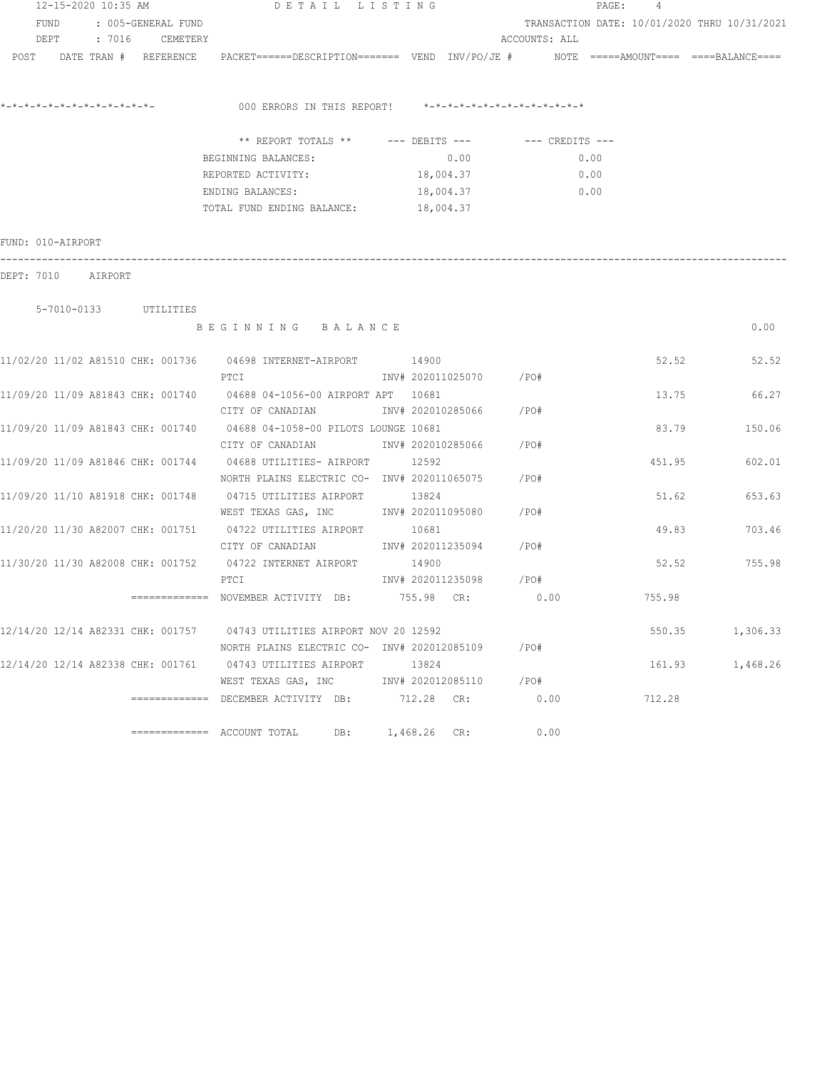| 12-15-2020 10:35 AM     |           | DETAIL LISTING                                                                                             |                                              |               | PAGE:<br>4 |          |
|-------------------------|-----------|------------------------------------------------------------------------------------------------------------|----------------------------------------------|---------------|------------|----------|
| FUND : 005-GENERAL FUND |           |                                                                                                            | TRANSACTION DATE: 10/01/2020 THRU 10/31/2021 |               |            |          |
| DEPT : 7016 CEMETERY    |           |                                                                                                            |                                              | ACCOUNTS: ALL |            |          |
| POST                    |           | DATE TRAN # REFERENCE PACKET======DESCRIPTION======= VEND INV/PO/JE # NOTE =====AMOUNT==== ====BALANCE==== |                                              |               |            |          |
|                         |           | 000 ERRORS IN THIS REPORT! *-*-*-*-*-*-*-*-*-*-*-*-*-*-                                                    |                                              |               |            |          |
|                         |           | ** REPORT TOTALS ** --- DEBITS --- -- -- CREDITS ---                                                       |                                              |               |            |          |
|                         |           | BEGINNING BALANCES:                                                                                        | 0.00                                         | 0.00          |            |          |
|                         |           | REPORTED ACTIVITY:                                                                                         | 18,004.37                                    | 0.00          |            |          |
|                         |           | ENDING BALANCES:                                                                                           | 18,004.37                                    | 0.00          |            |          |
|                         |           | TOTAL FUND ENDING BALANCE:                                                                                 | 18,004.37                                    |               |            |          |
| FUND: 010-AIRPORT       |           |                                                                                                            |                                              |               |            |          |
| DEPT: 7010 AIRPORT      |           |                                                                                                            |                                              |               |            |          |
| 5-7010-0133             | UTILITIES |                                                                                                            |                                              |               |            |          |
|                         |           | BEGINNING BALANCE                                                                                          |                                              |               |            | 0.00     |
|                         |           | 11/02/20 11/02 A81510 CHK: 001736 04698 INTERNET-AIRPORT 14900                                             |                                              |               | 52.52      | 52.52    |
|                         |           | PTCI                                                                                                       | INV# 202011025070 / PO#                      |               |            |          |
|                         |           | 11/09/20 11/09 A81843 CHK: 001740 04688 04-1056-00 AIRPORT APT 10681                                       |                                              |               | 13.75      | 66.27    |
|                         |           | CITY OF CANADIAN                                                                                           | INV# 202010285066 /PO#                       |               |            |          |
|                         |           | 11/09/20 11/09 A81843 CHK: 001740 04688 04-1058-00 PILOTS LOUNGE 10681                                     |                                              |               | 83.79      | 150.06   |
|                         |           | CITY OF CANADIAN MOTHOM INV# 202010285066 / PO#                                                            |                                              |               |            |          |
|                         |           | 11/09/20 11/09 A81846 CHK: 001744 04688 UTILITIES- AIRPORT 12592                                           |                                              |               | 451.95     | 602.01   |
|                         |           | NORTH PLAINS ELECTRIC CO- INV# 202011065075 / PO#                                                          |                                              |               |            |          |
|                         |           | 11/09/20 11/10 A81918 CHK: 001748 04715 UTILITIES AIRPORT 13824                                            |                                              |               | 51.62      | 653.63   |
|                         |           | WEST TEXAS GAS, INC        INV# 202011095080     /PO#                                                      |                                              |               |            |          |
|                         |           | 11/20/20 11/30 A82007 CHK: 001751 04722 UTILITIES AIRPORT                                                  | 10681                                        |               | 49.83      | 703.46   |
|                         |           | CITY OF CANADIAN                                                                                           | INV# 202011235094 /PO#                       |               |            |          |
|                         |           | 11/30/20 11/30 A82008 CHK: 001752 04722 INTERNET AIRPORT                                                   | 14900<br>INV# 202011235098 /PO#              |               | 52.52      | 755.98   |
|                         |           | PTCI<br>============ NOVEMBER ACTIVITY DB: 755.98 CR:                                                      |                                              | 0.00          | 755.98     |          |
|                         |           |                                                                                                            |                                              |               |            |          |
|                         |           | 12/14/20 12/14 A82331 CHK: 001757 04743 UTILITIES AIRPORT NOV 20 12592                                     |                                              |               | 550.35     | 1,306.33 |
|                         |           | NORTH PLAINS ELECTRIC CO- INV# 202012085109                                                                |                                              | $/$ PO#       |            |          |
|                         |           | 12/14/20 12/14 A82338 CHK: 001761 04743 UTILITIES AIRPORT 13824                                            |                                              |               | 161.93     | 1,468.26 |
|                         |           | WEST TEXAS GAS, INC NW# 202012085110                                                                       |                                              | /PO#          |            |          |
|                         |           | ============= DECEMBER ACTIVITY DB: 712.28 CR:                                                             |                                              | 0.00          | 712.28     |          |
|                         |           | $\equiv$ ============ ACCOUNT TOTAL<br>DB:                                                                 | $1,468.26$ CR:                               | 0.00          |            |          |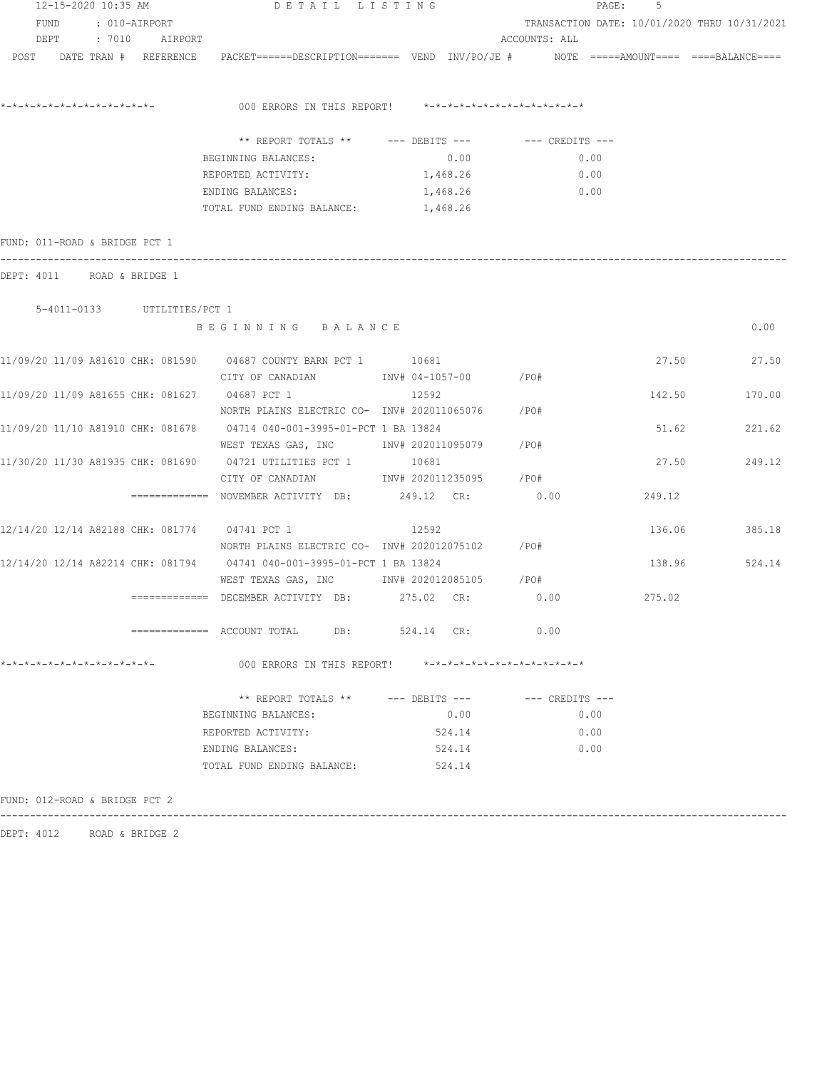| 12-15-2020 10:35 AM                           |                     | DETAIL LISTING                                                                                                  |                               | 5<br>$\mathtt{PAGE}$ :                       |        |               |  |  |
|-----------------------------------------------|---------------------|-----------------------------------------------------------------------------------------------------------------|-------------------------------|----------------------------------------------|--------|---------------|--|--|
| FUND : 010-AIRPORT                            |                     |                                                                                                                 |                               | TRANSACTION DATE: 10/01/2020 THRU 10/31/2021 |        |               |  |  |
|                                               | DEPT : 7010 AIRPORT |                                                                                                                 |                               | ACCOUNTS: ALL                                |        |               |  |  |
|                                               |                     | POST DATE TRAN # REFERENCE PACKET======DESCRIPTION======= VEND INV/PO/JE # NOTE =====AMOUNT==== ====BALANCE==== |                               |                                              |        |               |  |  |
|                                               |                     |                                                                                                                 |                               |                                              |        |               |  |  |
|                                               |                     | 000 ERRORS IN THIS REPORT! *-*-*-*-*-*-*-*-*-*-*-*-*-*-                                                         |                               |                                              |        |               |  |  |
|                                               |                     | ** REPORT TOTALS ** --- DEBITS --- -- CREDITS ---                                                               |                               |                                              |        |               |  |  |
|                                               |                     | BEGINNING BALANCES:                                                                                             | 0.00                          | 0.00                                         |        |               |  |  |
|                                               |                     | REPORTED ACTIVITY:                                                                                              | 1,468.26                      | 0.00                                         |        |               |  |  |
|                                               |                     | ENDING BALANCES:                                                                                                | 1,468.26                      | $\sim 0.00$                                  |        |               |  |  |
|                                               |                     | TOTAL FUND ENDING BALANCE: 1,468.26                                                                             |                               |                                              |        |               |  |  |
| FUND: 011-ROAD & BRIDGE PCT 1                 |                     |                                                                                                                 |                               |                                              |        |               |  |  |
| DEPT: 4011 ROAD & BRIDGE 1                    |                     |                                                                                                                 |                               |                                              |        |               |  |  |
| 5-4011-0133 UTILITIES/PCT 1                   |                     |                                                                                                                 |                               |                                              |        |               |  |  |
|                                               |                     | BEGINNING BALANCE                                                                                               |                               |                                              |        | 0.00          |  |  |
|                                               |                     | 11/09/20 11/09 A81610 CHK: 081590 04687 COUNTY BARN PCT 1 10681                                                 |                               |                                              |        | 27.50 27.50   |  |  |
|                                               |                     | CITY OF CANADIAN               INV# 04-1057-00          /PO#                                                    |                               |                                              |        |               |  |  |
| 11/09/20 11/09 A81655 CHK: 081627 04687 PCT 1 |                     |                                                                                                                 | 12592                         |                                              | 142.50 | 170.00        |  |  |
|                                               |                     | NORTH PLAINS ELECTRIC CO- INV# 202011065076 /PO#                                                                |                               |                                              |        |               |  |  |
|                                               |                     | 11/09/20 11/10 A81910 CHK: 081678 04714 040-001-3995-01-PCT 1 BA 13824                                          |                               |                                              | 51.62  | 221.62        |  |  |
|                                               |                     | WEST TEXAS GAS, INC        INV# 202011095079     /PO#                                                           |                               |                                              |        |               |  |  |
|                                               |                     | 11/30/20 11/30 A81935 CHK: 081690 04721 UTILITIES PCT 1                                                         | 10681                         |                                              | 27.50  | 249.12        |  |  |
|                                               |                     | CITY OF CANADIAN 1NV# 202011235095 / PO#                                                                        |                               |                                              |        |               |  |  |
|                                               |                     | ============= NOVEMBER ACTIVITY DB: 249.12 CR:                                                                  |                               | 0.00                                         | 249.12 |               |  |  |
|                                               |                     | 12/14/20 12/14 A82188 CHK: 081774 04741 PCT 1                                                                   | 12592                         |                                              |        | 136.06 385.18 |  |  |
|                                               |                     | NORTH PLAINS ELECTRIC CO- INV# 202012075102 / PO#                                                               |                               |                                              |        |               |  |  |
|                                               |                     | 12/14/20 12/14 A82214 CHK: 081794 04741 040-001-3995-01-PCT 1 BA 13824                                          |                               |                                              |        | 138.96 524.14 |  |  |
|                                               |                     |                                                                                                                 |                               |                                              |        |               |  |  |
|                                               |                     |                                                                                                                 |                               |                                              | 275.02 |               |  |  |
|                                               |                     | ============= ACCOUNT TOTAL DB: 524.14 CR:                                                                      |                               | 0.00                                         |        |               |  |  |
| *-*-*-*-*-*-*-*-*-*-*-*-*-*-                  |                     | 000 ERRORS IN THIS REPORT!                                                                                      | *-*-*-*-*-*-*-*-*-*-*-*-*-*-* |                                              |        |               |  |  |
|                                               |                     | ** REPORT TOTALS ** --- DEBITS ---                                                                              |                               | --- CREDITS ---                              |        |               |  |  |
|                                               |                     | BEGINNING BALANCES:                                                                                             | 0.00                          | 0.00                                         |        |               |  |  |
|                                               |                     | REPORTED ACTIVITY:                                                                                              | 524.14                        | 0.00                                         |        |               |  |  |
|                                               |                     | ENDING BALANCES:                                                                                                | 524.14                        | 0.00                                         |        |               |  |  |
|                                               |                     | TOTAL FUND ENDING BALANCE:                                                                                      | 524.14                        |                                              |        |               |  |  |
|                                               |                     |                                                                                                                 |                               |                                              |        |               |  |  |
| FUND: 012-ROAD & BRIDGE PCT 2                 |                     |                                                                                                                 |                               |                                              |        |               |  |  |
|                                               |                     |                                                                                                                 |                               |                                              |        |               |  |  |

DEPT: 4012 ROAD & BRIDGE 2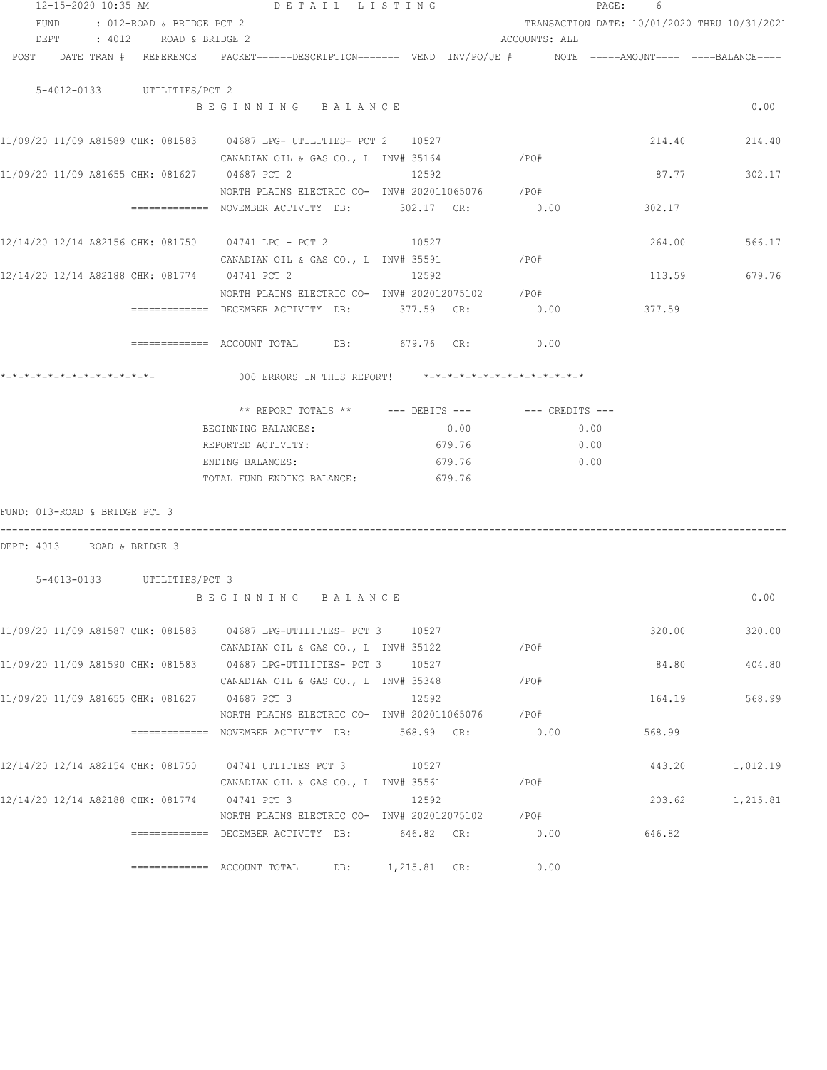| 12-15-2020 10:35 AM                           | DETAIL LISTING                                                                           |                |               | PAGE: 6                                      |               |
|-----------------------------------------------|------------------------------------------------------------------------------------------|----------------|---------------|----------------------------------------------|---------------|
| FUND : 012-ROAD & BRIDGE PCT 2                |                                                                                          |                |               | TRANSACTION DATE: 10/01/2020 THRU 10/31/2021 |               |
| DEPT : 4012 ROAD & BRIDGE 2                   |                                                                                          |                | ACCOUNTS: ALL |                                              |               |
| POST DATE TRAN # REFERENCE                    | PACKET======DESCRIPTION======= VEND INV/PO/JE #     NOTE =====AMOUNT==== ====BALANCE==== |                |               |                                              |               |
| 5-4012-0133 UTILITIES/PCT 2                   |                                                                                          |                |               |                                              |               |
|                                               | BEGINNING BALANCE                                                                        |                |               |                                              | 0.00          |
|                                               | 11/09/20 11/09 A81589 CHK: 081583 04687 LPG- UTILITIES- PCT 2 10527                      |                |               |                                              | 214.40 214.40 |
|                                               | CANADIAN OIL & GAS CO., L INV# 35164                                                     |                | /PO#          |                                              |               |
| 11/09/20 11/09 A81655 CHK: 081627 04687 PCT 2 |                                                                                          | 12592          |               | 87.77                                        | 302.17        |
|                                               | NORTH PLAINS ELECTRIC CO- INV# 202011065076 / PO#                                        |                |               |                                              |               |
|                                               | =============   NOVEMBER  ACTIVITY    DB:                  302.17      CR:               |                | 0.00          | 302.17                                       |               |
|                                               | 12/14/20 12/14 A82156 CHK: 081750 04741 LPG - PCT 2 10527                                |                |               |                                              | 264.00 566.17 |
|                                               | CANADIAN OIL & GAS CO., L $INV# 35591$ /PO#                                              |                |               |                                              |               |
|                                               | 12/14/20 12/14 A82188 CHK: 081774 04741 PCT 2                                            | 12592          |               |                                              | 113.59 679.76 |
|                                               | NORTH PLAINS ELECTRIC CO- INV# 202012075102 / PO#                                        |                |               |                                              |               |
|                                               | ============= DECEMBER ACTIVITY DB: 377.59 CR: 0.00 377.59                               |                |               |                                              |               |
|                                               | $\text{F}$ ============= ACCOUNT TOTAL DB: 679.76 CR: 0.00                               |                |               |                                              |               |
|                                               | 000 ERRORS IN THIS REPORT! *-*-*-*-*-*-*-*-*-*-*-*-*-*-                                  |                |               |                                              |               |
|                                               |                                                                                          |                |               |                                              |               |
|                                               |                                                                                          |                |               |                                              |               |
|                                               | BEGINNING BALANCES:                                                                      | 0.00           |               | 0.00                                         |               |
|                                               | REPORTED ACTIVITY:                                                                       | 679.76         |               | 0.00                                         |               |
|                                               | ENDING BALANCES:                                                                         | 679.76         | 0.00          |                                              |               |
|                                               | TOTAL FUND ENDING BALANCE: 679.76                                                        |                |               |                                              |               |
| FUND: 013-ROAD & BRIDGE PCT 3                 |                                                                                          |                |               |                                              |               |
| DEPT: 4013 ROAD & BRIDGE 3                    |                                                                                          |                |               |                                              |               |
| 5-4013-0133 UTILITIES/PCT 3                   |                                                                                          |                |               |                                              |               |
|                                               | BEGINNING BALANCE                                                                        |                |               |                                              | 0.00          |
|                                               | 11/09/20 11/09 A81587 CHK: 081583 04687 LPG-UTILITIES- PCT 3                             | 10527          |               | 320.00                                       | 320.00        |
|                                               | CANADIAN OIL & GAS CO., L INV# 35122                                                     |                | /PO#          |                                              |               |
|                                               | 11/09/20 11/09 A81590 CHK: 081583 04687 LPG-UTILITIES- PCT 3                             | 10527          |               | 84.80                                        | 404.80        |
|                                               | CANADIAN OIL & GAS CO., L INV# 35348                                                     |                | /PO#          |                                              |               |
| 11/09/20 11/09 A81655 CHK: 081627 04687 PCT 3 |                                                                                          | 12592          |               | 164.19                                       | 568.99        |
|                                               | NORTH PLAINS ELECTRIC CO- INV# 202011065076                                              |                | /PO#          |                                              |               |
|                                               | ============ NOVEMBER ACTIVITY DB:                                                       | 568.99 CR:     | 0.00          | 568.99                                       |               |
| 12/14/20 12/14 A82154 CHK: 081750             | 04741 UTLITIES PCT 3                                                                     | 10527          |               | 443.20                                       | 1,012.19      |
|                                               | CANADIAN OIL & GAS CO., L INV# 35561                                                     |                | /PO#          |                                              |               |
| 12/14/20 12/14 A82188 CHK: 081774             | 04741 PCT 3                                                                              | 12592          |               | 203.62                                       | 1,215.81      |
|                                               | NORTH PLAINS ELECTRIC CO- INV# 202012075102                                              |                | /PO#          |                                              |               |
|                                               | ============= DECEMBER ACTIVITY DB:                                                      | 646.82 CR:     | 0.00          | 646.82                                       |               |
|                                               | $\equiv$ ============ ACCOUNT TOTAL<br>DB:                                               | $1,215.81$ CR: | 0.00          |                                              |               |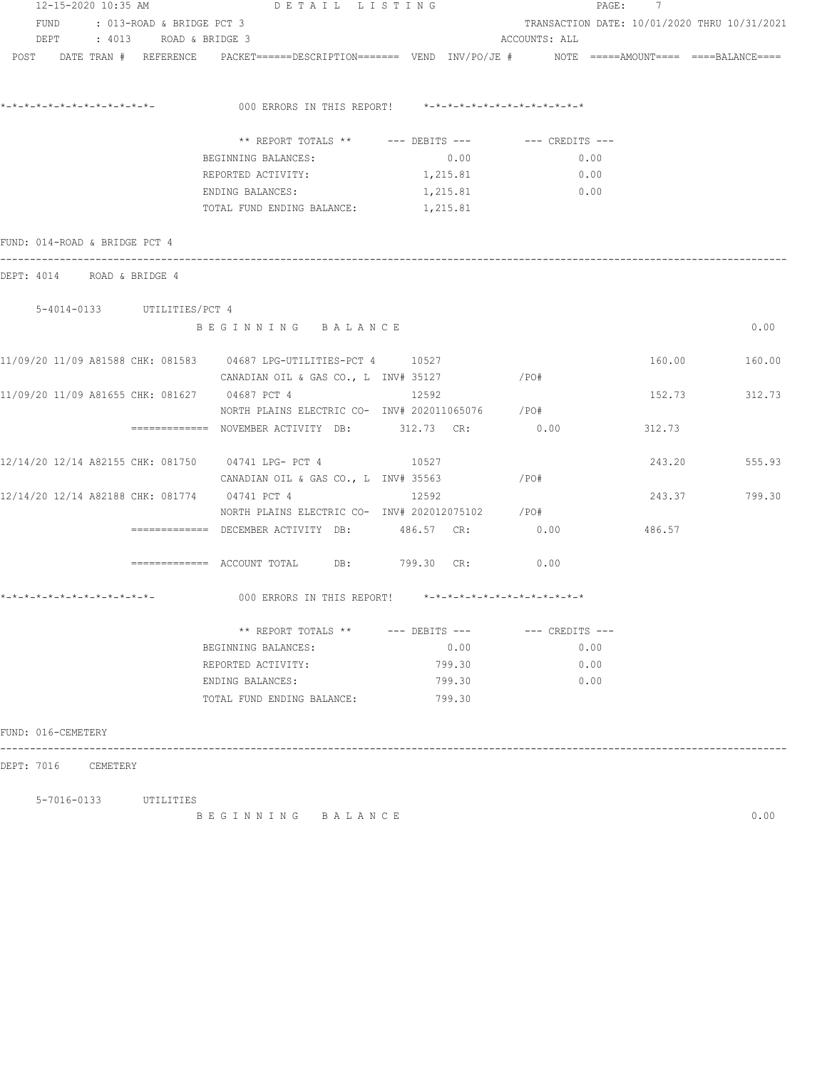| 12-15-2020 10:35 AM                                                                                             | DETAIL LISTING                                          |                               |                                              | PAGE: 7 |        |  |  |
|-----------------------------------------------------------------------------------------------------------------|---------------------------------------------------------|-------------------------------|----------------------------------------------|---------|--------|--|--|
| FUND<br>: 013-ROAD & BRIDGE PCT 3                                                                               |                                                         |                               | TRANSACTION DATE: 10/01/2020 THRU 10/31/2021 |         |        |  |  |
| DEPT : 4013 ROAD & BRIDGE 3                                                                                     |                                                         |                               | ACCOUNTS: ALL                                |         |        |  |  |
| POST DATE TRAN # REFERENCE PACKET======DESCRIPTION======= VEND INV/PO/JE # NOTE =====AMOUNT==== ====BALANCE==== |                                                         |                               |                                              |         |        |  |  |
|                                                                                                                 |                                                         |                               |                                              |         |        |  |  |
|                                                                                                                 |                                                         |                               |                                              |         |        |  |  |
|                                                                                                                 | 000 ERRORS IN THIS REPORT! *-*-*-*-*-*-*-*-*-*-*-*-*-*- |                               |                                              |         |        |  |  |
|                                                                                                                 | ** REPORT TOTALS ** --- DEBITS --- -- CREDITS ---       |                               |                                              |         |        |  |  |
|                                                                                                                 |                                                         |                               |                                              |         |        |  |  |
|                                                                                                                 | BEGINNING BALANCES:<br>REPORTED ACTIVITY:               | 0.00                          | 0.00<br>0.00                                 |         |        |  |  |
|                                                                                                                 |                                                         | 1,215.81                      |                                              |         |        |  |  |
|                                                                                                                 | ENDING BALANCES:                                        | 1,215.81                      | 0.00                                         |         |        |  |  |
|                                                                                                                 | TOTAL FUND ENDING BALANCE: 1,215.81                     |                               |                                              |         |        |  |  |
| FUND: 014-ROAD & BRIDGE PCT 4                                                                                   |                                                         |                               |                                              |         |        |  |  |
|                                                                                                                 |                                                         |                               |                                              |         |        |  |  |
| DEPT: 4014 ROAD & BRIDGE 4                                                                                      |                                                         |                               |                                              |         |        |  |  |
|                                                                                                                 |                                                         |                               |                                              |         |        |  |  |
| 5-4014-0133 UTILITIES/PCT 4                                                                                     |                                                         |                               |                                              |         |        |  |  |
|                                                                                                                 | BEGINNING BALANCE                                       |                               |                                              |         | 0.00   |  |  |
|                                                                                                                 |                                                         |                               |                                              |         |        |  |  |
| 11/09/20 11/09 A81588 CHK: 081583 04687 LPG-UTILITIES-PCT 4 10527                                               |                                                         |                               |                                              | 160.00  | 160.00 |  |  |
|                                                                                                                 | CANADIAN OIL & GAS CO., L INV# 35127                    |                               | $/$ PO#                                      |         |        |  |  |
| 11/09/20 11/09 A81655 CHK: 081627 04687 PCT 4                                                                   |                                                         | 12592                         |                                              | 152.73  | 312.73 |  |  |
|                                                                                                                 | NORTH PLAINS ELECTRIC CO- INV# 202011065076 / PO#       |                               |                                              |         |        |  |  |
|                                                                                                                 | ============ NOVEMBER ACTIVITY DB: 312.73 CR: 0.00      |                               |                                              | 312.73  |        |  |  |
|                                                                                                                 |                                                         |                               |                                              |         |        |  |  |
| 12/14/20 12/14 A82155 CHK: 081750 04741 LPG- PCT 4 10527                                                        |                                                         |                               |                                              | 243.20  | 555.93 |  |  |
|                                                                                                                 | CANADIAN OIL & GAS CO., L $INV#$ 35563 / $PO#$          |                               |                                              |         |        |  |  |
| 12/14/20 12/14 A82188 CHK: 081774 04741 PCT 4                                                                   |                                                         | 12592                         |                                              | 243.37  | 799.30 |  |  |
|                                                                                                                 | NORTH PLAINS ELECTRIC CO- INV# 202012075102 / PO#       |                               |                                              |         |        |  |  |
|                                                                                                                 | ============= DECEMBER ACTIVITY DB: 486.57 CR:          |                               | 0.00                                         | 486.57  |        |  |  |
|                                                                                                                 |                                                         |                               |                                              |         |        |  |  |
|                                                                                                                 | ============= ACCOUNT TOTAL DB: 799.30 CR:              |                               | 0.00                                         |         |        |  |  |
|                                                                                                                 |                                                         |                               |                                              |         |        |  |  |
|                                                                                                                 | 000 ERRORS IN THIS REPORT!                              | *-*-*-*-*-*-*-*-*-*-*-*-*-*-* |                                              |         |        |  |  |
|                                                                                                                 | ** REPORT TOTALS ** --- DEBITS --- -- -- CREDITS ---    |                               |                                              |         |        |  |  |
|                                                                                                                 | BEGINNING BALANCES:                                     | 0.00                          | 0.00                                         |         |        |  |  |
|                                                                                                                 | REPORTED ACTIVITY:                                      | 799.30                        | 0.00                                         |         |        |  |  |
|                                                                                                                 | ENDING BALANCES:                                        | 799.30                        | 0.00                                         |         |        |  |  |
|                                                                                                                 |                                                         |                               |                                              |         |        |  |  |
|                                                                                                                 | TOTAL FUND ENDING BALANCE:                              | 799.30                        |                                              |         |        |  |  |
| FUND: 016-CEMETERY                                                                                              |                                                         |                               |                                              |         |        |  |  |
|                                                                                                                 |                                                         |                               |                                              |         |        |  |  |
| DEPT: 7016 CEMETERY                                                                                             |                                                         |                               |                                              |         |        |  |  |

5-7016-0133 UTILITIES

B E G I N N I N G B A L A N C E 0.00